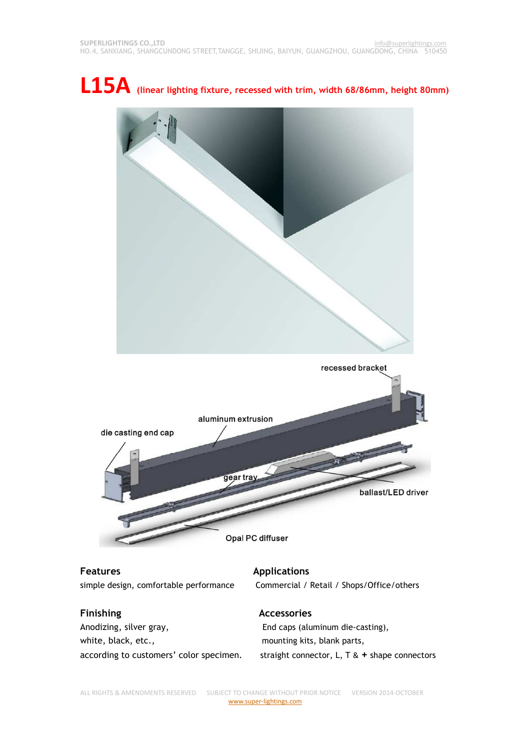



**Features Applications** 

**Finishing**  The **Accessories** Anodizing, silver gray, End caps (aluminum die-casting), white, black, etc., mounting kits, blank parts,

simple design, comfortable performance Commercial / Retail / Shops/Office/others

according to customers' color specimen. straight connector, L, T & **+** shape connectors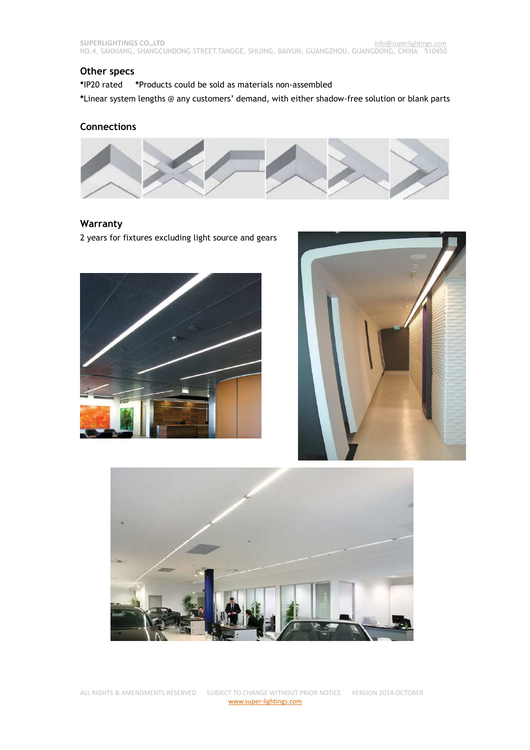### **Other specs**

**\***IP20 rated **\***Products could be sold as materials non-assembled

**\***Linear system lengths @ any customers' demand, with either shadow-free solution or blank parts

#### **Connections**



### **Warranty**

2 years for fixtures excluding light source and gears





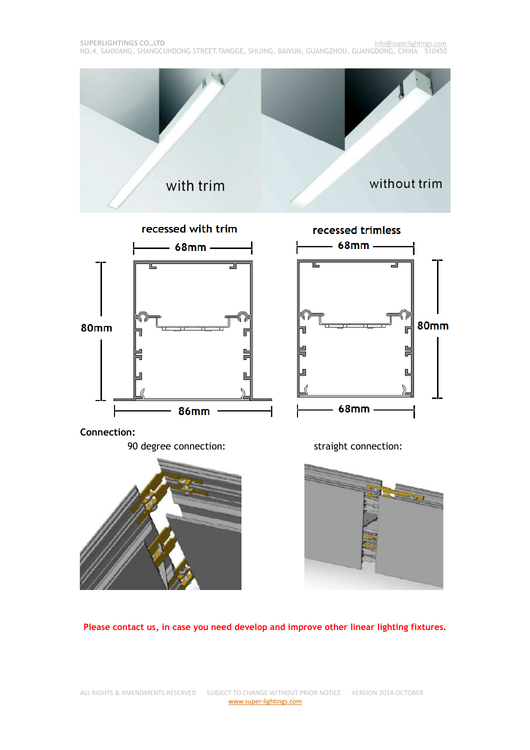

**Please contact us, in case you need develop and improve other linear lighting fixtures.**